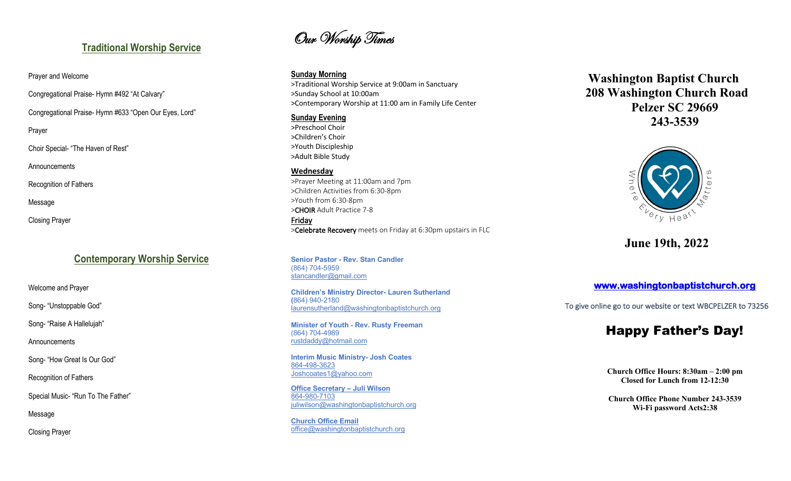## **Traditional Worship Service**

Prayer and Welcome

Congregational Praise - Hymn #492 " At Calvary "

Congregational Praise - Hymn #633 "Open Our Eyes, Lord "

Prayer

Choir Special - "The Haven of Rest"

Announcements Recognition of Fathers

Message

Closing Prayer

## **Contemporary Worship Service**

Welcome and Prayer

Song- "Unstoppable God"

Song- "Raise A Hallelujah"

Announcements

Song- "How Great Is Our God "

Recognition of Fathers

Special Music - "Run To The Father"

Message

Closing Prayer

# Our Worship Times

**Sunday Morning**

>Traditional Worship Service at 9:00am in Sanctuary >Sunday School at 10:00am >Contemporary Worship at 11:00 am in Family Life Center

**Sunday Evening**

>Preschool Choir >Children's Choir >Youth Discipleship >Adult Bible Study

## **Wednesday**

>Prayer Meeting at 11:00am and 7pm >Children Activities from 6:30 -8pm >Youth from 6:30 -8pm >CHOIR Adult Practice 7-8 **Friday<br>
>Celebrate Recovery** meets on Friday at 6:30pm upstairs in FLC

**Senior Pastor - Rev. Stan Candler** (864) 704 -5959 stancandler@gmail.com

**Children's Ministry Director - Lauren Sutherland (**864) 940 -2180 laurensutherland@washingtonbaptistchurch.org

**Minister of Youth - Rev. Rusty Freeman** (864) 704 -4989 rustdaddy@hotmail.com

**Interim Music Ministry - Josh Coates** 864 -498 -3623 Joshcoates1@yahoo.com

**Office Secretary – Juli Wilson** 864 -980 -7103 juliwilson@washingtonbaptistchurch.org

**Church Office Email** office@washingtonbaptistchurch.org

 **Washington Baptist Church 208 Washington Church Road Pelzer SC 29669 243 -3539**



**June 1 9th, 2022**

## **www.washingtonbaptistchurch.org**

To give online go to our website or text WBCPELZER to 73256

## Happy Father's Day!

**Church Office Hours: 8:30am – 2:00 pm Closed for Lunch from 12 -12:30**

**Church Office Phone Number 243 -3539 Wi -Fi password Acts2:38**